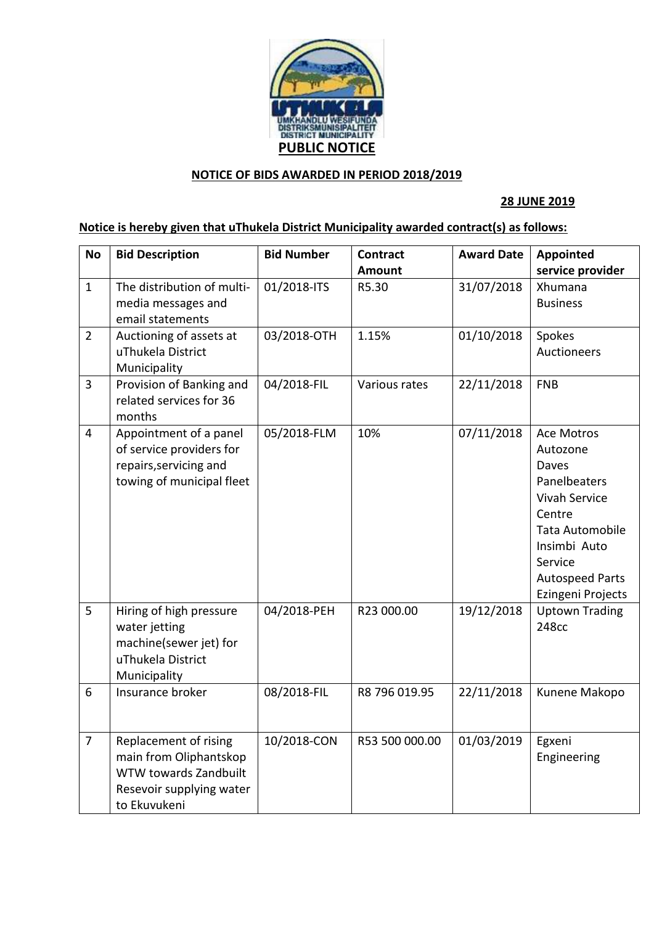

## **NOTICE OF BIDS AWARDED IN PERIOD 2018/2019**

## **28 JUNE 2019**

## **Notice is hereby given that uThukela District Municipality awarded contract(s) as follows:**

| <b>No</b>      | <b>Bid Description</b>                                                                                               | <b>Bid Number</b> | <b>Contract</b> | <b>Award Date</b> | Appointed                                                                                                                                                                      |
|----------------|----------------------------------------------------------------------------------------------------------------------|-------------------|-----------------|-------------------|--------------------------------------------------------------------------------------------------------------------------------------------------------------------------------|
|                |                                                                                                                      |                   | Amount          |                   | service provider                                                                                                                                                               |
| $\mathbf{1}$   | The distribution of multi-<br>media messages and<br>email statements                                                 | 01/2018-ITS       | R5.30           | 31/07/2018        | Xhumana<br><b>Business</b>                                                                                                                                                     |
| $\overline{2}$ | Auctioning of assets at<br>uThukela District<br>Municipality                                                         | 03/2018-OTH       | 1.15%           | 01/10/2018        | Spokes<br>Auctioneers                                                                                                                                                          |
| $\overline{3}$ | Provision of Banking and<br>related services for 36<br>months                                                        | 04/2018-FIL       | Various rates   | 22/11/2018        | <b>FNB</b>                                                                                                                                                                     |
| $\overline{4}$ | Appointment of a panel<br>of service providers for<br>repairs, servicing and<br>towing of municipal fleet            | 05/2018-FLM       | 10%             | 07/11/2018        | Ace Motros<br>Autozone<br>Daves<br>Panelbeaters<br><b>Vivah Service</b><br>Centre<br>Tata Automobile<br>Insimbi Auto<br>Service<br><b>Autospeed Parts</b><br>Ezingeni Projects |
| 5              | Hiring of high pressure<br>water jetting<br>machine(sewer jet) for<br>uThukela District<br>Municipality              | 04/2018-PEH       | R23 000.00      | 19/12/2018        | <b>Uptown Trading</b><br>248cc                                                                                                                                                 |
| 6              | Insurance broker                                                                                                     | 08/2018-FIL       | R8 796 019.95   | 22/11/2018        | Kunene Makopo                                                                                                                                                                  |
| $\overline{7}$ | Replacement of rising<br>main from Oliphantskop<br>WTW towards Zandbuilt<br>Resevoir supplying water<br>to Ekuvukeni | 10/2018-CON       | R53 500 000.00  | 01/03/2019        | Egxeni<br>Engineering                                                                                                                                                          |